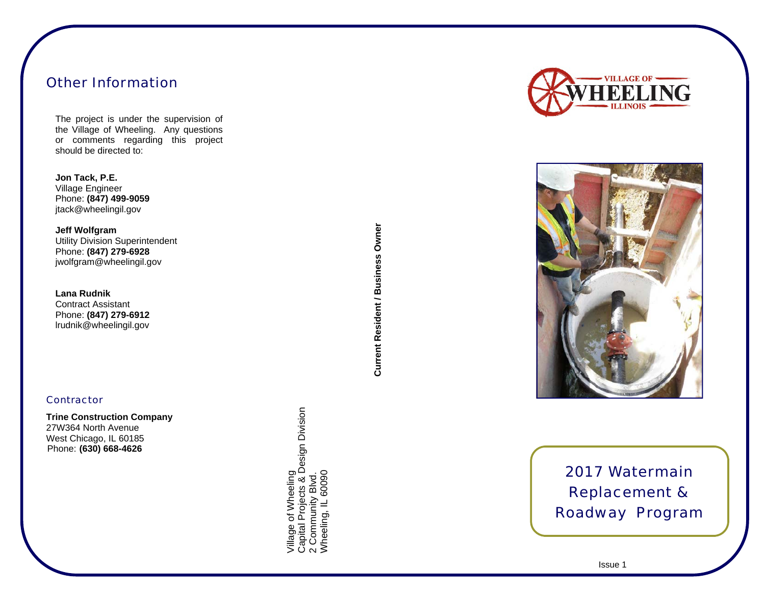## Other Information

The project is under the supervision of the Village of Wheeling. Any questions or comments regarding this project should be directed to:

**Jon Tack, P.E.**  Village Engineer Phone: **(847) 499-9059**  jtack@wheelingil.gov

**Jeff Wolfgram**  Utility Division Superintendent Phone: **(847) 279-6928**  jwolfgram@wheelingil.gov

**Lana Rudnik**  Contract Assistant Phone: **(847) 279-6912**  lrudnik@wheelingil.gov

#### **Contractor**

**Trine Construction Company**  27W364 North Avenue West Chicago, IL 60185 Phone: **(630) 668-4626**

Village of Wheeling<br>Capital Projects & Design Division<br>2 Community Blvd.<br>Wheeling, IL 60090 Capital Projects & Design Division Village of Wheeling Wheeling, IL 60090 2 Community Blvd.

**Current Resident / Business Owner** Current Resident / Business Owner





# 2017 Watermain Replacement & Roadway Program

 $\sim$  1ssue 1ssue 1ssue 1ssue 1ssue 1ssue 1ssue 1ssue 1ssue 1ssue 1ssue 1ssue 1ssue 1ssue 1ssue 1ssue 1ssue 1ssue 1ssue 1ssue 1ssue 1ssue 1ssue 1ssue 1ssue 1ssue 1ssue 1ssue 1ssue 1ssue 1ssue 1ssue 1ssue 1ssue 1ssue 1ssue Issue 1